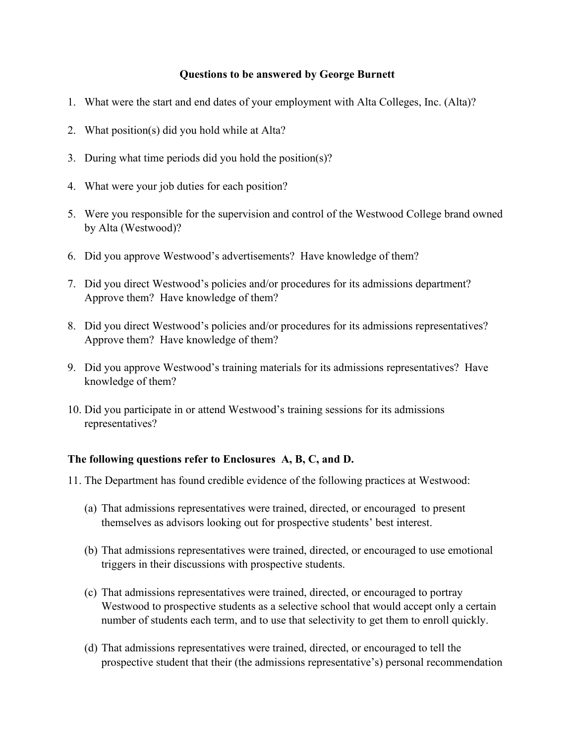## **Questions to be answered by George Burnett**

- 1. What were the start and end dates of your employment with Alta Colleges, Inc. (Alta)?
- 2. What position(s) did you hold while at Alta?
- 3. During what time periods did you hold the position(s)?
- 4. What were your job duties for each position?
- 5. Were you responsible for the supervision and control of the Westwood College brand owned by Alta (Westwood)?
- 6. Did you approve Westwood's advertisements? Have knowledge of them?
- 7. Did you direct Westwood's policies and/or procedures for its admissions department? Approve them? Have knowledge of them?
- 8. Did you direct Westwood's policies and/or procedures for its admissions representatives? Approve them? Have knowledge of them?
- 9. Did you approve Westwood's training materials for its admissions representatives? Have knowledge of them?
- 10. Did you participate in or attend Westwood's training sessions for its admissions representatives?

## **The following questions refer to Enclosures A, B, C, and D.**

- 11. The Department has found credible evidence of the following practices at Westwood:
	- (a) That admissions representatives were trained, directed, or encouraged to present themselves as advisors looking out for prospective students' best interest.
	- (b) That admissions representatives were trained, directed, or encouraged to use emotional triggers in their discussions with prospective students.
	- (c) That admissions representatives were trained, directed, or encouraged to portray Westwood to prospective students as a selective school that would accept only a certain number of students each term, and to use that selectivity to get them to enroll quickly.
	- (d) That admissions representatives were trained, directed, or encouraged to tell the prospective student that their (the admissions representative's) personal recommendation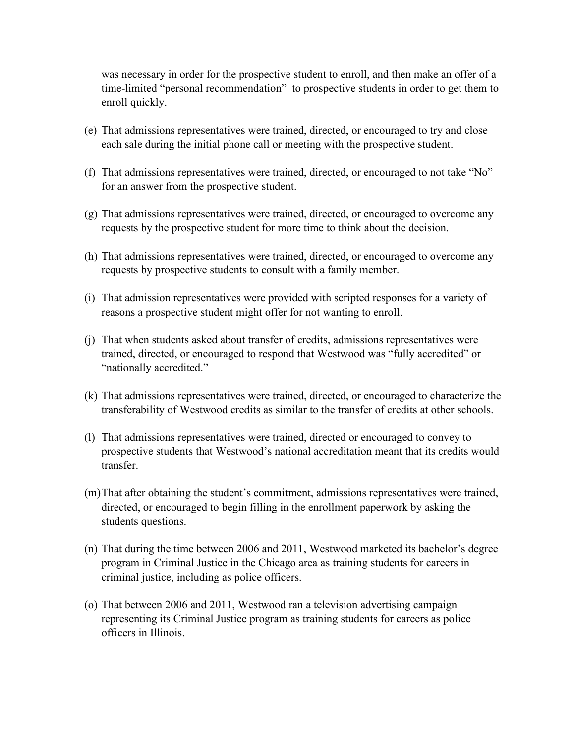was necessary in order for the prospective student to enroll, and then make an offer of a time-limited "personal recommendation" to prospective students in order to get them to enroll quickly.

- (e) That admissions representatives were trained, directed, or encouraged to try and close each sale during the initial phone call or meeting with the prospective student.
- (f) That admissions representatives were trained, directed, or encouraged to not take "No" for an answer from the prospective student.
- (g) That admissions representatives were trained, directed, or encouraged to overcome any requests by the prospective student for more time to think about the decision.
- (h) That admissions representatives were trained, directed, or encouraged to overcome any requests by prospective students to consult with a family member.
- (i) That admission representatives were provided with scripted responses for a variety of reasons a prospective student might offer for not wanting to enroll.
- (j) That when students asked about transfer of credits, admissions representatives were trained, directed, or encouraged to respond that Westwood was "fully accredited" or "nationally accredited."
- (k) That admissions representatives were trained, directed, or encouraged to characterize the transferability of Westwood credits as similar to the transfer of credits at other schools.
- (l) That admissions representatives were trained, directed or encouraged to convey to prospective students that Westwood's national accreditation meant that its credits would transfer.
- (m)That after obtaining the student's commitment, admissions representatives were trained, directed, or encouraged to begin filling in the enrollment paperwork by asking the students questions.
- (n) That during the time between 2006 and 2011, Westwood marketed its bachelor's degree program in Criminal Justice in the Chicago area as training students for careers in criminal justice, including as police officers.
- (o) That between 2006 and 2011, Westwood ran a television advertising campaign representing its Criminal Justice program as training students for careers as police officers in Illinois.